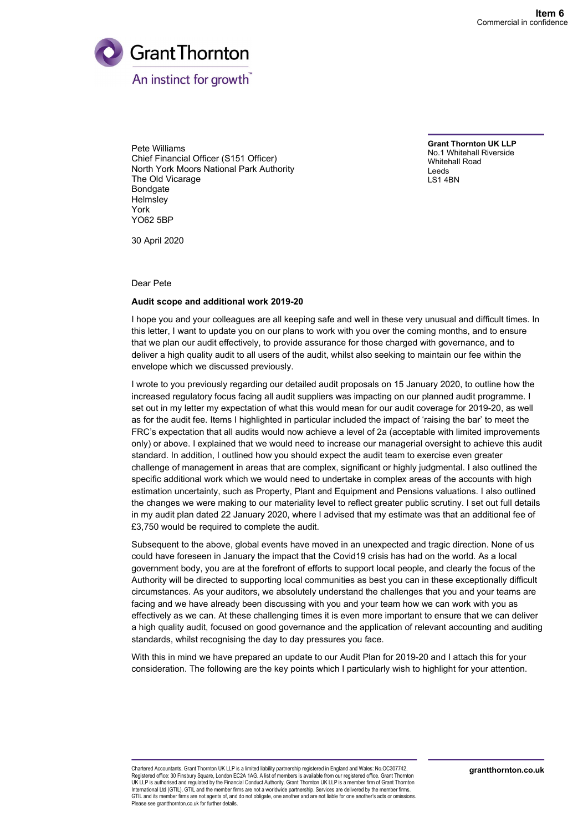

Pete Williams Chief Financial Officer (S151 Officer) North York Moors National Park Authority The Old Vicarage Bondgate Helmsley York YO62 5BP

Grant Thornton UK LLP No.1 Whitehall Riverside Whitehall Road Leeds LS1 4BN

30 April 2020

Dear Pete

#### Audit scope and additional work 2019-20

I hope you and your colleagues are all keeping safe and well in these very unusual and difficult times. In this letter, I want to update you on our plans to work with you over the coming months, and to ensure that we plan our audit effectively, to provide assurance for those charged with governance, and to deliver a high quality audit to all users of the audit, whilst also seeking to maintain our fee within the envelope which we discussed previously.

I wrote to you previously regarding our detailed audit proposals on 15 January 2020, to outline how the increased regulatory focus facing all audit suppliers was impacting on our planned audit programme. I set out in my letter my expectation of what this would mean for our audit coverage for 2019-20, as well as for the audit fee. Items I highlighted in particular included the impact of 'raising the bar' to meet the FRC's expectation that all audits would now achieve a level of 2a (acceptable with limited improvements only) or above. I explained that we would need to increase our managerial oversight to achieve this audit standard. In addition, I outlined how you should expect the audit team to exercise even greater challenge of management in areas that are complex, significant or highly judgmental. I also outlined the specific additional work which we would need to undertake in complex areas of the accounts with high estimation uncertainty, such as Property, Plant and Equipment and Pensions valuations. I also outlined the changes we were making to our materiality level to reflect greater public scrutiny. I set out full details in my audit plan dated 22 January 2020, where I advised that my estimate was that an additional fee of £3,750 would be required to complete the audit.

Subsequent to the above, global events have moved in an unexpected and tragic direction. None of us could have foreseen in January the impact that the Covid19 crisis has had on the world. As a local government body, you are at the forefront of efforts to support local people, and clearly the focus of the Authority will be directed to supporting local communities as best you can in these exceptionally difficult circumstances. As your auditors, we absolutely understand the challenges that you and your teams are facing and we have already been discussing with you and your team how we can work with you as effectively as we can. At these challenging times it is even more important to ensure that we can deliver a high quality audit, focused on good governance and the application of relevant accounting and auditing standards, whilst recognising the day to day pressures you face.

With this in mind we have prepared an update to our Audit Plan for 2019-20 and I attach this for your consideration. The following are the key points which I particularly wish to highlight for your attention.

Chartered Accountants. Grant Thornton UK LLP is a limited liability partnership registered in England and Wales: No.OC307742. Registered office: 30 Finsbury Square, London EC2A 1AG. A list of members is available from our registered office. Grant Thornton UK LLP is authorised and regulated by the Financial Conduct Authority. Grant Thornton UK LLP is a member firm of Grant Thornton International Ltd (GTIL). GTIL and the member firms are not a worldwide partnership. Services are delivered by the member firms. GTIL and its member firms are not agents of, and do not obligate, one another and are not liable for one another's acts or omissions. Please see grantthornton.co.uk for further details.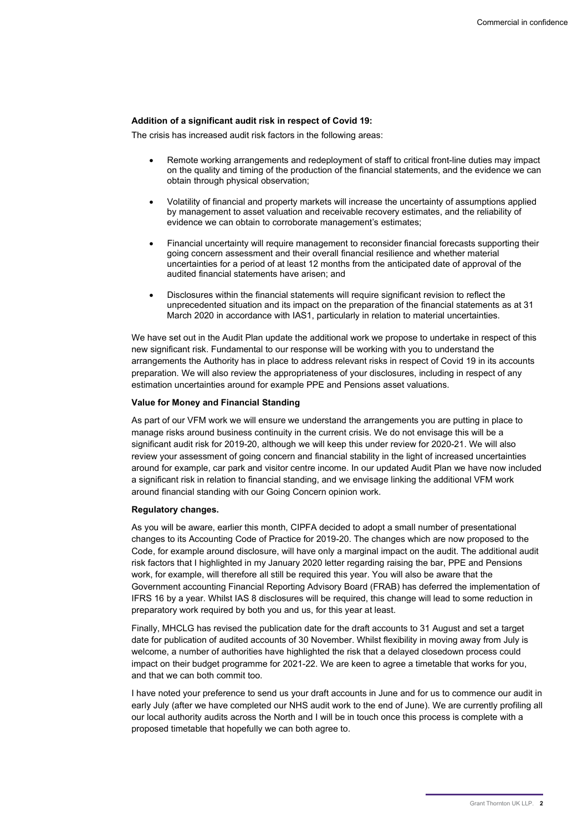## Addition of a significant audit risk in respect of Covid 19:

The crisis has increased audit risk factors in the following areas:

- Remote working arrangements and redeployment of staff to critical front-line duties may impact on the quality and timing of the production of the financial statements, and the evidence we can obtain through physical observation;
- Volatility of financial and property markets will increase the uncertainty of assumptions applied by management to asset valuation and receivable recovery estimates, and the reliability of evidence we can obtain to corroborate management's estimates;
- Financial uncertainty will require management to reconsider financial forecasts supporting their going concern assessment and their overall financial resilience and whether material uncertainties for a period of at least 12 months from the anticipated date of approval of the audited financial statements have arisen; and
- Disclosures within the financial statements will require significant revision to reflect the unprecedented situation and its impact on the preparation of the financial statements as at 31 March 2020 in accordance with IAS1, particularly in relation to material uncertainties.

We have set out in the Audit Plan update the additional work we propose to undertake in respect of this new significant risk. Fundamental to our response will be working with you to understand the arrangements the Authority has in place to address relevant risks in respect of Covid 19 in its accounts preparation. We will also review the appropriateness of your disclosures, including in respect of any estimation uncertainties around for example PPE and Pensions asset valuations.

#### Value for Money and Financial Standing

As part of our VFM work we will ensure we understand the arrangements you are putting in place to manage risks around business continuity in the current crisis. We do not envisage this will be a significant audit risk for 2019-20, although we will keep this under review for 2020-21. We will also review your assessment of going concern and financial stability in the light of increased uncertainties around for example, car park and visitor centre income. In our updated Audit Plan we have now included a significant risk in relation to financial standing, and we envisage linking the additional VFM work around financial standing with our Going Concern opinion work.

#### Regulatory changes.

As you will be aware, earlier this month, CIPFA decided to adopt a small number of presentational changes to its Accounting Code of Practice for 2019-20. The changes which are now proposed to the Code, for example around disclosure, will have only a marginal impact on the audit. The additional audit risk factors that I highlighted in my January 2020 letter regarding raising the bar, PPE and Pensions work, for example, will therefore all still be required this year. You will also be aware that the Government accounting Financial Reporting Advisory Board (FRAB) has deferred the implementation of IFRS 16 by a year. Whilst IAS 8 disclosures will be required, this change will lead to some reduction in preparatory work required by both you and us, for this year at least.

Finally, MHCLG has revised the publication date for the draft accounts to 31 August and set a target date for publication of audited accounts of 30 November. Whilst flexibility in moving away from July is welcome, a number of authorities have highlighted the risk that a delayed closedown process could impact on their budget programme for 2021-22. We are keen to agree a timetable that works for you, and that we can both commit too.

I have noted your preference to send us your draft accounts in June and for us to commence our audit in early July (after we have completed our NHS audit work to the end of June). We are currently profiling all our local authority audits across the North and I will be in touch once this process is complete with a proposed timetable that hopefully we can both agree to.